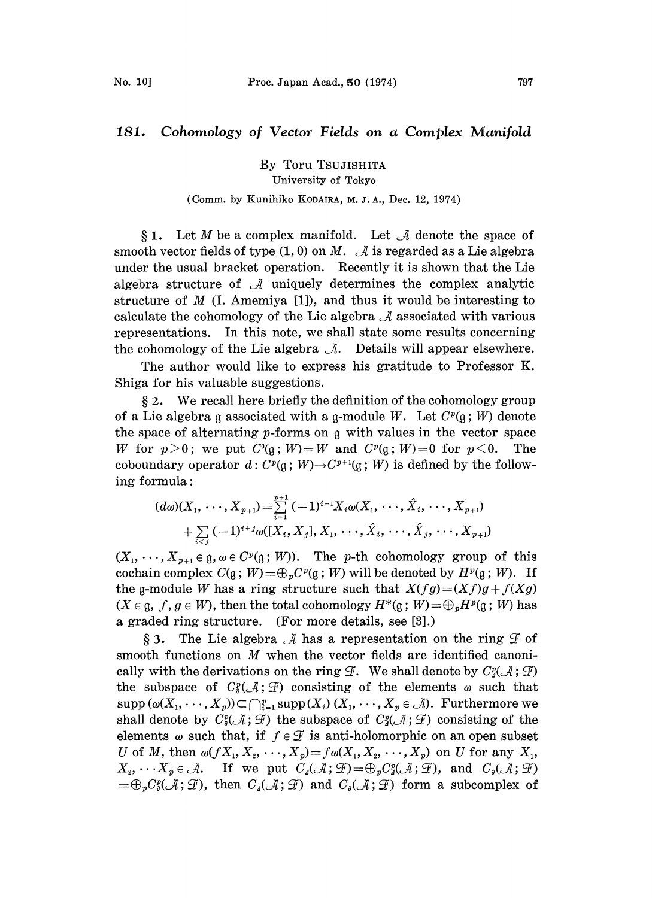## 181. Cohomology of Vector Fields on a Complex Manifold

By Toru TSUJISHITA University of Tokyo

## (Comm. by Kunihiko KODAIRA, M.J.A., Dec. 12, 1974)

§ 1. Let M be a complex manifold. Let  $\mathcal A$  denote the space of smooth vector fields of type  $(1, 0)$  on M.  $\mathcal A$  is regarded as a Lie algebra under the usual bracket operation. Recently it is shown that the Lie algebra structure of  $\mathcal A$  uniquely determines the complex analytic structure of  $M$  (I. Amemiya [1]), and thus it would be interesting to calculate the cohomology of the Lie algebra  $\mathcal A$  associated with various representations. In this note, we shall state some results concerning the cohomology of the Lie algebra  $\mathcal{A}$ . Details will appear elsewhere.

The author would like to express his gratitude to Professor K. Shiga for his valuable suggestions.

 $\S 2$ . We recall here briefly the definition of the cohomology group of a Lie algebra g associated with a g-module W. Let  $C<sup>p</sup>(g; W)$  denote the space of alternating  $p$ -forms on  $q$  with values in the vector space W for  $p>0$ ; we put  $C^0(\mathfrak{g};W) = W$  and  $C^p(\mathfrak{g};W) = 0$  for  $p<0$ . The coboundary operator  $d: C^p(q; W) \to C^{p+1}(q; W)$  is defined by the following formula:

$$
(d\omega)(X_1, \cdots, X_{p+1}) = \sum_{i=1}^{p+1} (-1)^{i-1} X_i \omega(X_1, \cdots, \hat{X}_i, \cdots, X_{p+1}) + \sum_{i \leq i} (-1)^{i+j} \omega([X_i, X_j], X_1, \cdots, \hat{X}_i, \cdots, \hat{X}_j, \cdots, X_{p+1})
$$

 $(X_1, \dots, X_{p+1} \in \mathfrak{g}, \omega \in C^p(\mathfrak{g}; W))$ . The p-th cohomology group of this cochain complex  $C(\mathfrak{g}; W) = \bigoplus_{n} C^{p}(\mathfrak{g}; W)$  will be denoted by  $H^{p}(\mathfrak{g}; W)$ . If the g-module W has a ring structure such that  $X(fg) = (Xf)g + f(Xg)$  $(X \in \mathfrak{g}, f, g \in W)$ , then the total cohomology  $H^*(\mathfrak{g}; W) = \bigoplus_p H^p(\mathfrak{g}; W)$  has a graded ring structure. (For more details, see [3].)

§ 3. The Lie algebra  $\mathcal A$  has a representation on the ring  $\mathcal F$  of smooth functions on  $M$  when the vector fields are identified canonically with the derivations on the ring  $\mathcal{F}$ . We shall denote by  $C^p_4(\mathcal{A}; \mathcal{F})$ the subspace of  $C^p_{\sigma}(\mathcal{A}; \mathcal{F})$  consisting of the elements  $\omega$  such that  $\text{supp }(\omega(X_1,\dots,X_p))\subset \bigcap_{i=1}^p \text{supp}(X_i)(X_1,\dots,X_p\in \mathcal{A})$ . Furthermore we shall denote by  $C^p_{\sigma}(\mathcal{A}; \mathcal{F})$  the subspace of  $C^p_{\sigma}(\mathcal{A}; \mathcal{F})$  consisting of the elements  $\omega$  such that, if  $f \in \mathcal{F}$  is anti-holomorphic on an open subset U of M, then  $\omega(fX_1, X_2, \dots, X_p)=f\omega(X_1, X_2, \dots, X_p)$  on U for any  $X_1$ ,  $X_2, \cdots X_p \in \mathcal{A}$ . If we put  $C_4(\mathcal{A}; \mathcal{F}) = \bigoplus_p C_4^p(\mathcal{A}; \mathcal{F})$ , and  $C_4(\mathcal{A}; \mathcal{F})$  $=\bigoplus_{p}C_{\delta}^{p}(\mathcal{A}; \mathcal{F})$ , then  $C_{\delta}(\mathcal{A}; \mathcal{F})$  and  $C_{\delta}(\mathcal{A}; \mathcal{F})$  form a subcomplex of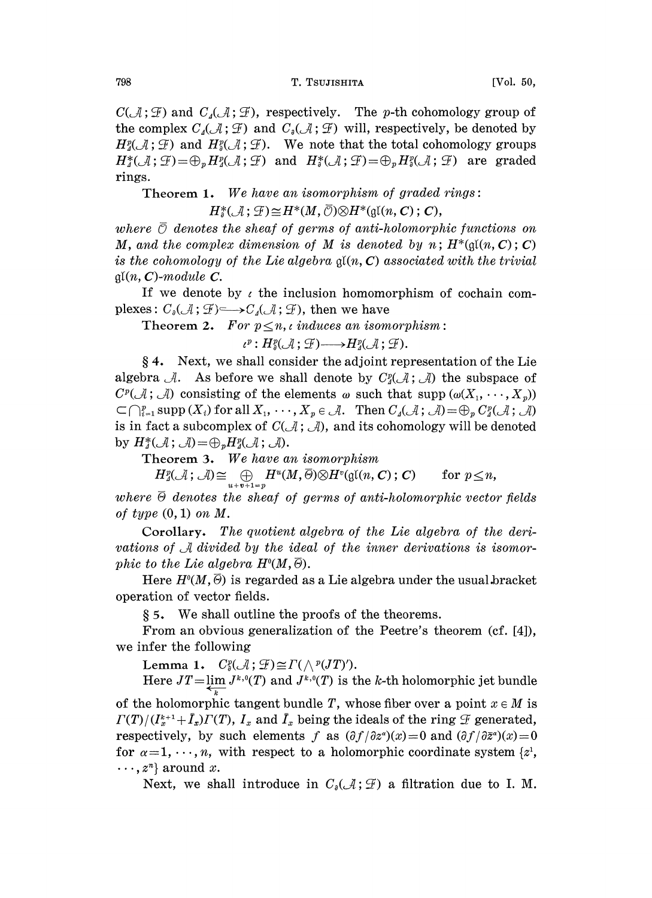$C(\mathcal{A}; \mathcal{F})$  and  $C(\mathcal{A}; \mathcal{F})$ , respectively. The p-th cohomology group of the complex  $C_{\lambda}(\mathcal{A}; \mathcal{F})$  and  $C_{\lambda}(\mathcal{A}; \mathcal{F})$  will, respectively, be denoted by  $H_4^p(\mathcal{A}; \mathcal{F})$  and  $H_4^p(\mathcal{A}; \mathcal{F})$ . We note that the total cohomology groups  $H^*_4({\mathcal A};{\mathcal G})=\oplus_p H^p_4({\mathcal A};{\mathcal G})$  and  $H^*_4({\mathcal A};{\mathcal G})=\oplus_p H^p_4({\mathcal A};{\mathcal G})$  are graded rings.

Theorem 1. We have an isomorphism of graded rings:<br>  $H^*_\theta(\mathcal{A}; \mathcal{F}) \cong H^*(M, \overline{\mathcal{O}}) \otimes H^*(\mathfrak{gl}(n, \mathcal{C}); \mathcal{C}),$ 

where  $\overline{\mathcal{O}}$  denotes the sheaf of germs of anti-holomorphic functions on M, and the complex dimension of M is denoted by  $n$ ;  $H^*(\mathfrak{gl}(n, C); C)$ is the cohomology of the Lie algebra  $\mathfrak{gl}(n, \mathbb{C})$  associated with the trivial  $\mathfrak{gl}(n, \mathbf{C})$ -module  $\mathbf{C}$ .

If we denote by  $\iota$  the inclusion homomorphism of cochain complexes:  $C_{\delta}(\mathcal{A}; \mathcal{F}) \longrightarrow C_{\delta}(\mathcal{A}; \mathcal{F})$ , then we have

Theorem 2. For  $p \leq n$ , induces an isomorphism:

 $\iota^p: H^p_{\alpha}(\mathcal{A}; \mathcal{F}) \longrightarrow H^p_{\alpha}(\mathcal{A}; \mathcal{F}).$ 

 $§ 4.$  Next, we shall consider the adjoint representation of the Lie algebra  $\mathcal{A}$ . As before we shall denote by  $C^{\alpha}_{4}(\mathcal{A}; \mathcal{A})$  the subspace of  $C^p(\mathcal{A}; \mathcal{A})$  consisting of the elements  $\omega$  such that supp  $(\omega(X_1, \dots, X_n))$  $\subset \bigcap_{i=1}^p \text{supp}(X_i)$  for all  $X_1, \dots, X_p \in \mathcal{A}$ . Then  $C_4(\mathcal{A}; \mathcal{A}) = \bigoplus_p C_4^p(\mathcal{A}; \mathcal{A})$ is in fact a subcomplex of  $C(\mathcal{A}; \mathcal{A})$ , and its cohomology will be denoted by  $H^*_\Lambda(\mathcal A; \mathcal A)=\bigoplus_p H^p_\Lambda(\mathcal A; \mathcal A).$ 

Theorem 3. We have an isomorphism

heorem 3. We have an isomorphism<br>  $H_2^p(\mathcal{A}; \mathcal{A}) \cong \bigoplus_{u+v+1=p} H^u(M, \overline{\Theta}) \otimes H^v(\mathfrak{gl}(n, \mathbb{C}); \mathbb{C})$  for  $p \leq n$ ,<br>  $\overline{\Theta}$  denotes the sheat of germs of anti-holomorphic vector

where  $\overline{\Theta}$  denotes the sheaf of germs of anti-holomorphic vector fields of type  $(0, 1)$  on M.

Corollary. The quotient algebra of the Lie algebra of the derivations of  $\mathcal A$  divided by the ideal of the inner derivations is isomorphic to the Lie algebra  $H^0(M, \overline{\Theta})$ .

Here  $H<sup>0</sup>(M, \overline{\Theta})$  is regarded as a Lie algebra under the usual bracket operation of vector fields.

5. We shall outline the proofs of the theorems.

From an obvious generalization of the Peetre's theorem (cf. [4]), we infer the following

Lemma 1.  $C^p_{\alpha}(\mathcal{A}; \mathcal{F}) \cong \Gamma(\wedge^p(T)^r)$ .

Here  $JT = \lim_{k \to \infty} J^{k,0}(T)$  and  $J^{k,0}(T)$  is the k-th holomorphic jet bundle of the holomorphic tangent bundle T, whose fiber over a point  $x \in M$  is  $\Gamma(T)/(I_x^{k+1}+\bar{I}_x)\Gamma(T)$ ,  $I_x$  and  $\bar{I}_x$  being the ideals of the ring  $\mathscr F$  generated, respectively, by such elements f as  $(\partial f/\partial z^{\alpha})(x)=0$  and  $(\partial f/\partial \bar{z}^{\alpha})(x)=0$ for  $\alpha=1,\dots,n$ , with respect to a holomorphic coordinate system  $\{z^1, z^2, \dots, z^n\}$  $\cdots$ ,  $z^n$  around x.

Next, we shall introduce in  $C_{\mathfrak{g}}(\mathcal{A}; \mathcal{F})$  a filtration due to I. M.